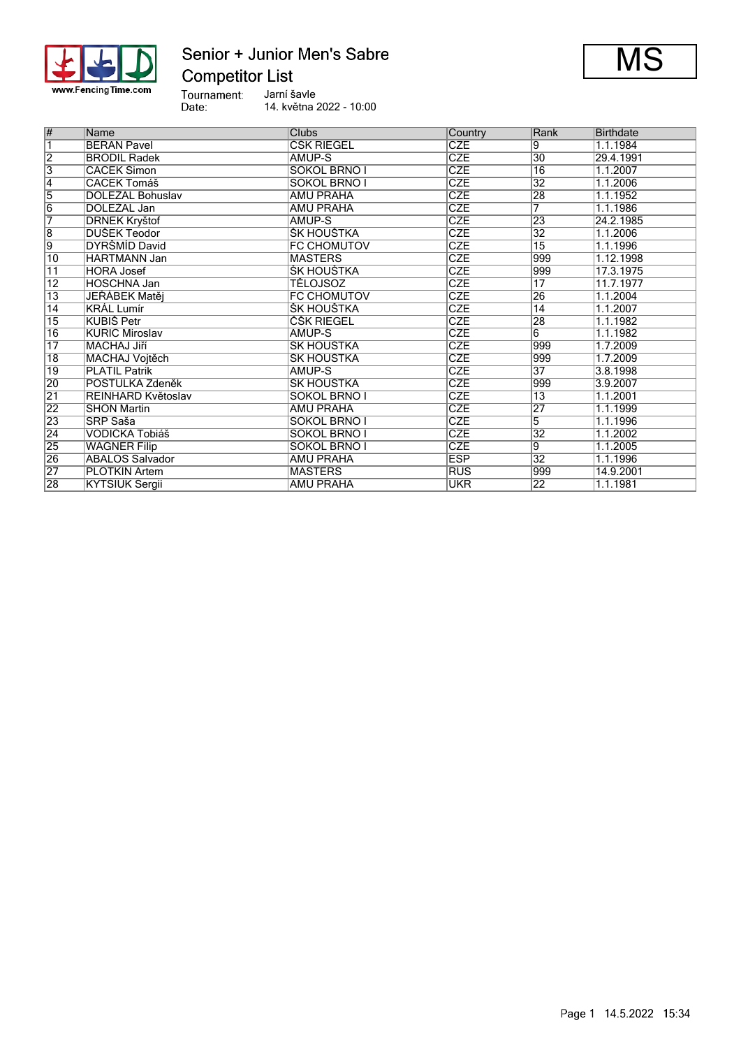

## Senior + Junior Men's Sabre **Competitor List**



Tournament:<br>Date: Jarní šavle

14. května 2022 - 10:00

| #               | Name                   | Clubs               | Country    | Rank            | <b>Birthdate</b> |
|-----------------|------------------------|---------------------|------------|-----------------|------------------|
| 7               | <b>BERAN Pavel</b>     | <b>CSK RIEGEL</b>   | <b>CZE</b> | 9               | 1.1.1984         |
| $\overline{2}$  | <b>BRODIL Radek</b>    | AMUP-S              | <b>CZE</b> | $ 30\rangle$    | 29.4.1991        |
| $\overline{3}$  | <b>CACEK Šimon</b>     | SOKOL BRNO I        | <b>CZE</b> | $\overline{16}$ | 1.1.2007         |
| $\overline{4}$  | <b>CACEK Tomáš</b>     | <b>SOKOL BRNO I</b> | <b>CZE</b> | $\overline{32}$ | 1.1.2006         |
| $\overline{5}$  | DOLEŽAL Bohuslav       | <b>AMU PRAHA</b>    | <b>CZE</b> | 28              | 1.1.1952         |
| $\overline{6}$  | DOLEŽAL Jan            | AMU PRAHA           | <b>CZE</b> | 7               | 1.1.1986         |
| 7               | <b>DRNEK Kryštof</b>   | AMUP-S              | <b>CZE</b> | 23              | 24.2.1985        |
| 8               | DUŠEK Teodor           | ŠK HOUŠTKA          | <b>CZE</b> | $\overline{32}$ | 1.1.2006         |
| 9               | DYRŠMÍD David          | <b>FC CHOMUTOV</b>  | <b>CZE</b> | $\overline{15}$ | 1.1.1996         |
| 10              | <b>HARTMANN Jan</b>    | <b>MASTERS</b>      | <b>CZE</b> | 999             | 1.12.1998        |
| $\overline{11}$ | <b>HORA Josef</b>      | ŠK HOUŠTKA          | <b>CZE</b> | 999             | 17.3.1975        |
| $\overline{12}$ | <b>HOSCHNA Jan</b>     | TĚLOJSOZ            | <b>CZE</b> | 17              | 11.7.1977        |
| $\overline{13}$ | JEŘÁBEK Matěj          | <b>FC CHOMUTOV</b>  | <b>CZE</b> | 26              | 1.1.2004         |
| $\overline{14}$ | <b>KRÁL Lumír</b>      | ŠK HOUŠTKA          | <b>CZE</b> | $\overline{14}$ | 1.1.2007         |
| $\overline{15}$ | <b>KUBIŠ Petr</b>      | <b>CSK RIEGEL</b>   | <b>CZE</b> | 28              | 1.1.1982         |
| $\overline{16}$ | <b>KURIC Miroslav</b>  | AMUP-S              | <b>CZE</b> | 6               | 1.1.1982         |
| $\overline{17}$ | MACHAJ Jiří            | ŠK HOUŠTKA          | <b>CZE</b> | 999             | 1.7.2009         |
| $\overline{18}$ | MACHAJ Voitěch         | ŠK HOUŠTKA          | <b>CZE</b> | 999             | 1.7.2009         |
| 19              | <b>PLATIL Patrik</b>   | AMUP-S              | <b>CZE</b> | $\overline{37}$ | 3.8.1998         |
| 20              | POSTULKA Zdeněk        | ŠK HOUŠTKA          | <b>CZE</b> | 999             | 3.9.2007         |
| $\overline{21}$ | REINHARD Květoslav     | SOKOL BRNO I        | <b>CZE</b> | $\overline{13}$ | 1.1.2001         |
| 22              | <b>SHON Martin</b>     | <b>AMU PRAHA</b>    | <b>CZE</b> | 27              | 1.1.1999         |
| 23              | SRP Saša               | <b>SOKOL BRNO I</b> | <b>CZE</b> | $\overline{5}$  | 1.1.1996         |
| $\overline{24}$ | VODIČKA Tobiáš         | SOKOL BRNO I        | <b>CZE</b> | $\overline{32}$ | 1.1.2002         |
| 25              | <b>WAGNER Filip</b>    | SOKOL BRNO I        | <b>CZE</b> | 9               | 1.1.2005         |
| 26              | <b>ABALOS Salvador</b> | AMU PRAHA           | <b>ESP</b> | $\overline{32}$ | 1.1.1996         |
| $\overline{27}$ | <b>PLOTKIN Artem</b>   | <b>MASTERS</b>      | <b>RUS</b> | 999             | 14.9.2001        |
| $\overline{28}$ | <b>KYTSIUK Sergii</b>  | <b>AMU PRAHA</b>    | <b>UKR</b> | $\overline{22}$ | 1.1.1981         |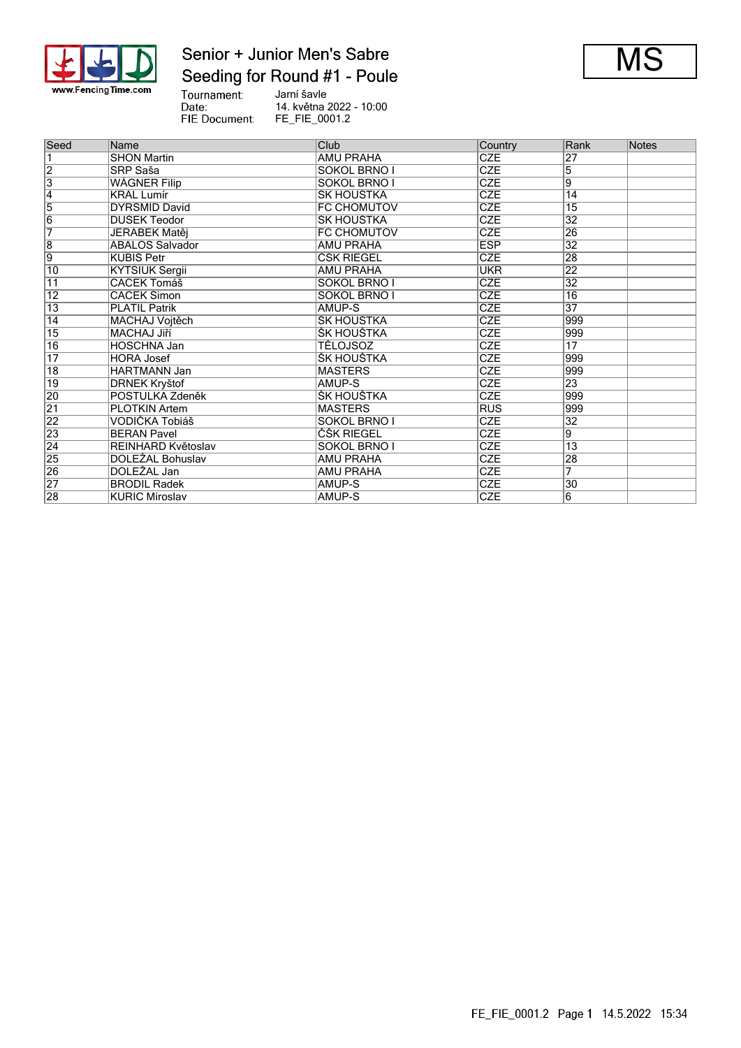

## Senior + Junior Men's Sabre Seeding for Round #1 - Poule



Tournament:<br>Date:<br>FIE Document: Jarní šavle 14. května 2022 - 10:00 FE\_FIE\_0001.2

| Seed            | Name                   | Club                | Country    | Rank            | <b>Notes</b> |
|-----------------|------------------------|---------------------|------------|-----------------|--------------|
|                 | <b>SHON Martin</b>     | <b>AMU PRAHA</b>    | <b>CZE</b> | 27              |              |
| $\overline{2}$  | SRP Saša               | SOKOL BRNO I        | <b>CZE</b> | 5               |              |
| $\overline{3}$  | <b>WÁGNER Filip</b>    | SOKOL BRNO I        | <b>CZE</b> | $\overline{9}$  |              |
| $\overline{4}$  | <b>KRÁL Lumír</b>      | ŠK HOUŠTKA          | <b>CZE</b> | $\overline{14}$ |              |
| $\overline{5}$  | DYRŠMÍD David          | FC CHOMUTOV         | CZE        | $\overline{15}$ |              |
| $\overline{6}$  | DUŠEK Teodor           | ŠK HOUŠTKA          | <b>CZE</b> | 32              |              |
| 7               | JEŘÁBEK Matěj          | FC CHOMUTOV         | <b>CZE</b> | $\overline{26}$ |              |
| $\overline{8}$  | <b>ABALOS Salvador</b> | <b>AMU PRAHA</b>    | <b>ESP</b> | $\overline{32}$ |              |
| $\overline{9}$  | <b>KUBIŠ Petr</b>      | ČŠK RIEGEL          | <b>CZE</b> | 28              |              |
| $\overline{10}$ | <b>KYTSIUK Sergii</b>  | <b>AMU PRAHA</b>    | <b>UKR</b> | 22              |              |
| $\overline{11}$ | <b>CACEK Tomáš</b>     | <b>SOKOL BRNO I</b> | <b>CZE</b> | $\overline{32}$ |              |
| $\overline{12}$ | <b>CACEK Šimon</b>     | SOKOL BRNO I        | <b>CZE</b> | $\overline{16}$ |              |
| $\overline{13}$ | <b>PLATIL Patrik</b>   | AMUP-S              | <b>CZE</b> | $\overline{37}$ |              |
| $\overline{14}$ | <b>MACHAJ Vojtěch</b>  | ŠK HOUŠTKA          | <b>CZE</b> | 999             |              |
| $\overline{15}$ | <b>MACHAJ Jiří</b>     | ŠK HOUŠTKA          | <b>CZE</b> | 999             |              |
| 16              | <b>HOSCHNA Jan</b>     | <b>TÉLOJSOZ</b>     | <b>CZE</b> | $\overline{17}$ |              |
| $\overline{17}$ | <b>HORA Josef</b>      | ŠK HOUŠTKA          | <b>CZE</b> | 999             |              |
| $\overline{18}$ | <b>HARTMANN Jan</b>    | <b>MASTERS</b>      | <b>CZE</b> | 999             |              |
| 19              | <b>DRNEK Kryštof</b>   | AMUP-S              | <b>CZE</b> | 23              |              |
| 20              | POSTULKA Zdeněk        | ŠK HOUŠTKA          | <b>CZE</b> | 999             |              |
| $\overline{21}$ | <b>PLOTKIN Artem</b>   | <b>MASTERS</b>      | <b>RUS</b> | 999             |              |
| $\overline{22}$ | VODIČKA Tobiáš         | SOKOL BRNO I        | <b>CZE</b> | 32              |              |
| 23              | <b>BERAN Pavel</b>     | ČŠK RIEGEL          | <b>CZE</b> | $\overline{9}$  |              |
| $\overline{24}$ | REINHARD Květoslav     | SOKOL BRNO I        | <b>CZE</b> | $\overline{13}$ |              |
| 25              | DOLEŽAL Bohuslav       | <b>AMU PRAHA</b>    | <b>CZE</b> | 28              |              |
| 26              | DOLEŽAL Jan            | <b>AMU PRAHA</b>    | <b>CZE</b> | 7               |              |
| $\overline{27}$ | <b>BRODIL Radek</b>    | AMUP-S              | <b>CZE</b> | 30              |              |
| 28              | <b>KURIC Miroslav</b>  | AMUP-S              | <b>CZE</b> | 6               |              |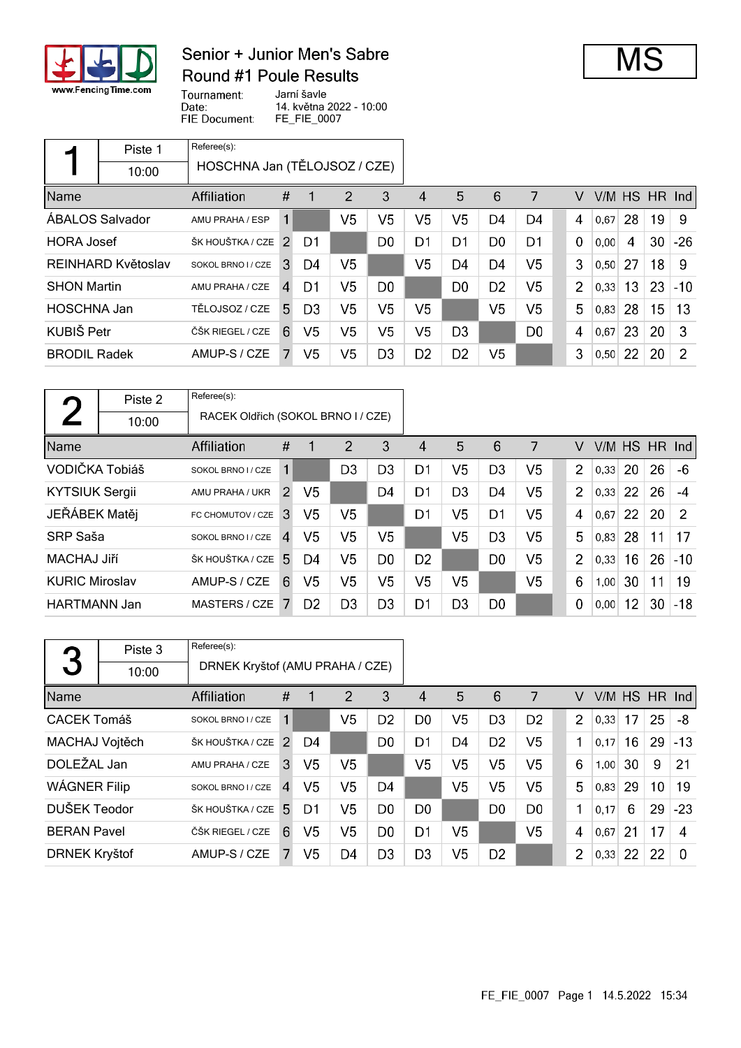

## Senior + Junior Men's Sabre **Round #1 Poule Results**



Tournament: Jarní šavle Date: 14. května 2022 - 10:00 FIE Document: FE\_FIE\_0007

|                     | Piste 1                | Referee(s):                  |               |                |    |                |                |                |                |                |                |      |    |               |       |
|---------------------|------------------------|------------------------------|---------------|----------------|----|----------------|----------------|----------------|----------------|----------------|----------------|------|----|---------------|-------|
|                     | 10:00                  | HOSCHNA Jan (TĚLOJSOZ / CZE) |               |                |    |                |                |                |                |                |                |      |    |               |       |
| Name                |                        | Affiliation                  | #             |                | 2  | 3              | 4              | 5              | 6              | 7              | V              |      |    | V/M HS HR Ind |       |
|                     | <b>ABALOS Salvador</b> | AMU PRAHA / ESP              | 1             |                | V5 | V5             | V5             | V5             | D4             | D4             | 4              | 0,67 | 28 | 19            | 9     |
| <b>HORA Josef</b>   |                        | ŠK HOUŠTKA / CZE             | $\mathcal{P}$ | D1             |    | D <sub>0</sub> | D1             | D1             | D <sub>0</sub> | D1             | 0              | 0,00 | 4  | 30            | $-26$ |
|                     | REINHARD Květoslav     | SOKOL BRNO I / CZE           | 3             | D4             | V5 |                | V5             | D4             | D <sub>4</sub> | V <sub>5</sub> | 3              | 0,50 | 27 | 18            | 9     |
| <b>SHON Martin</b>  |                        | AMU PRAHA / CZE              | $\mathbf{A}$  | D1             | V5 | D <sub>0</sub> |                | D <sub>0</sub> | D <sub>2</sub> | V <sub>5</sub> | $\overline{2}$ | 0,33 | 13 | 23            | $-10$ |
| <b>HOSCHNA Jan</b>  |                        | TĚLOJSOZ / CZE               | 5.            | D <sub>3</sub> | V5 | V5             | V5             |                | V <sub>5</sub> | V <sub>5</sub> | 5              | 0.83 | 28 | 15            | 13    |
| KUBIŠ Petr          |                        | ČŠK RIEGEL / CZE             | 6             | V <sub>5</sub> | V5 | V5             | V5             | D <sub>3</sub> |                | D <sub>0</sub> | 4              | 0,67 | 23 | 20            | 3     |
| <b>BRODIL Radek</b> |                        | AMUP-S / CZE                 | 7             | V5             | V5 | D <sub>3</sub> | D <sub>2</sub> | D <sub>2</sub> | V <sub>5</sub> |                | 3              | 0,50 | 22 | 20            | 2     |

|                       | Piste 2 | Referee(s):                        |                |                |                |                |                |                |                |                |                |      |    |               |       |
|-----------------------|---------|------------------------------------|----------------|----------------|----------------|----------------|----------------|----------------|----------------|----------------|----------------|------|----|---------------|-------|
|                       | 10:00   | RACEK Oldřich (SOKOL BRNO I / CZE) |                |                |                |                |                |                |                |                |                |      |    |               |       |
| Name                  |         | <b>Affiliation</b>                 | #              | 1              | 2              | 3              | 4              | 5              | 6              | 7              | V              |      |    | V/M HS HR Ind |       |
| VODIČKA Tobiáš        |         | SOKOL BRNO I / CZE                 | 1              |                | D <sub>3</sub> | D <sub>3</sub> | D1             | V5             | D <sub>3</sub> | V5             | $\overline{2}$ | 0.33 | 20 | 26            | $-6$  |
| <b>KYTSIUK Sergii</b> |         | AMU PRAHA / UKR                    | $\mathcal{P}$  | V <sub>5</sub> |                | D4             | D1             | D <sub>3</sub> | D4             | V <sub>5</sub> | $\overline{2}$ | 0,33 | 22 | 26            | $-4$  |
| JEŘÁBEK Matěj         |         | FC CHOMUTOV / CZE                  | 3              | V5             | V <sub>5</sub> |                | D <sub>1</sub> | V5             | D <sub>1</sub> | V <sub>5</sub> | 4              | 0,67 | 22 | 20            | 2     |
| SRP Saša              |         | SOKOL BRNO I / CZE                 | $\overline{A}$ | V5             | V5             | V5             |                | V5             | D <sub>3</sub> | V <sub>5</sub> | 5              | 0,83 | 28 | 11            | 17    |
| MACHAJ Jiří           |         | ŠK HOUŠTKA / CZE 5                 |                | D4             | V5             | D <sub>0</sub> | D <sub>2</sub> |                | D <sub>0</sub> | V <sub>5</sub> | $\overline{2}$ | 0,33 | 16 | 26            | $-10$ |
| <b>KURIC Miroslav</b> |         | AMUP-S / CZE                       | 6              | V <sub>5</sub> | V5             | V5             | V5             | V5             |                | V5             | 6              | 1,00 | 30 | 11            | 19    |
| <b>HARTMANN Jan</b>   |         | MASTERS / CZE                      |                | D <sub>2</sub> | D <sub>3</sub> | D <sub>3</sub> | D1             | D <sub>3</sub> | D <sub>0</sub> |                | $\mathbf 0$    | 0,00 | 12 | 30            | $-18$ |

|                      | Piste 3 | Referee(s):                     |                |                |                |                |                |                |                |                |                |      |        |    |          |
|----------------------|---------|---------------------------------|----------------|----------------|----------------|----------------|----------------|----------------|----------------|----------------|----------------|------|--------|----|----------|
| 3                    | 10:00   | DRNEK Kryštof (AMU PRAHA / CZE) |                |                |                |                |                |                |                |                |                |      |        |    |          |
| Name                 |         | Affiliation                     | #              |                | 2              | 3              | 4              | 5              | 6              | 7              | v              |      | V/M HS |    | $HR$ Ind |
| <b>CACEK Tomáš</b>   |         | SOKOL BRNO I / CZE              | 1              |                | V <sub>5</sub> | D <sub>2</sub> | D <sub>0</sub> | V <sub>5</sub> | D <sub>3</sub> | D <sub>2</sub> | 2              | 0.33 | 17     | 25 | -8       |
| MACHAJ Vojtěch       |         | ŠK HOUŠTKA / CZE 2              |                | D4             |                | D <sub>0</sub> | D1             | D4             | D <sub>2</sub> | V5             | 1              | 0.17 | 16     | 29 | $-13$    |
| DOLEŽAL Jan          |         | AMU PRAHA / CZE                 | 3              | V5             | V5             |                | V <sub>5</sub> | V <sub>5</sub> | V <sub>5</sub> | V <sub>5</sub> | 6              | 1,00 | 30     | 9  | 21       |
| WÁGNER Filip         |         | SOKOL BRNO I / CZE              | $\overline{4}$ | V <sub>5</sub> | V5             | D4             |                | V <sub>5</sub> | V <sub>5</sub> | V <sub>5</sub> | 5              | 0.83 | 29     | 10 | 19       |
| DUŠEK Teodor         |         | ŠK HOUŠTKA / CZE                | .5.            | D1             | V5             | D <sub>0</sub> | D0             |                | D <sub>0</sub> | D <sub>0</sub> | 1              | 0.17 | 6      | 29 | $-23$    |
| <b>BERAN Pavel</b>   |         | ČŠK RIEGEL / CZE                | 6              | V5             | V5             | D <sub>0</sub> | D1             | V5             |                | V <sub>5</sub> | 4              | 0.67 | 21     | 17 | 4        |
| <b>DRNEK Kryštof</b> |         | AMUP-S / CZE                    |                | V <sub>5</sub> | D4             | D <sub>3</sub> | D <sub>3</sub> | V5             | D <sub>2</sub> |                | $\overline{2}$ | 0,33 | 22     | 22 | $\Omega$ |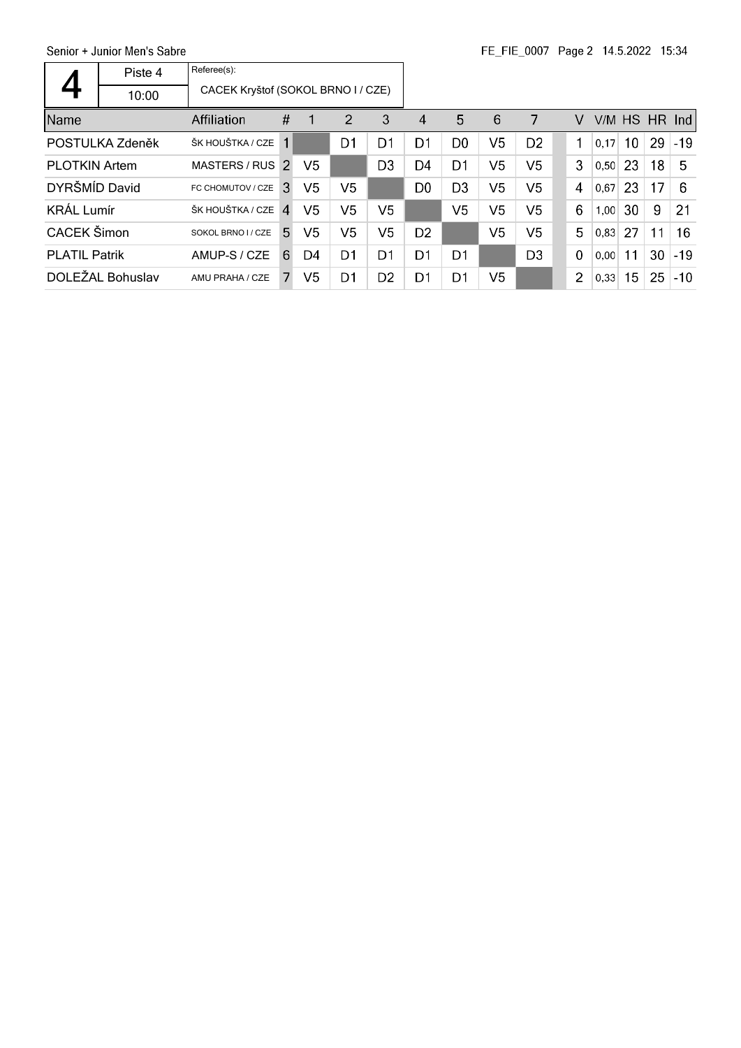|                      | Piste 4<br>10:00 | Referee(s):<br>CACEK Kryštof (SOKOL BRNO I / CZE) |                        |    |                |                |                        |                |                |                |                |      |    |    |               |
|----------------------|------------------|---------------------------------------------------|------------------------|----|----------------|----------------|------------------------|----------------|----------------|----------------|----------------|------|----|----|---------------|
| Name                 |                  | Affiliation                                       | #                      |    | 2              | 3              | $\boldsymbol{\Lambda}$ | 5              | 6              | 7              | V              |      |    |    | V/M HS HR Ind |
|                      | POSTULKA Zdeněk  | ŠK HOUŠTKA / CZE                                  | 1                      |    | D1             | D <sub>1</sub> | D1                     | D <sub>0</sub> | V <sub>5</sub> | D <sub>2</sub> | 1              | 0,17 | 10 | 29 | $-19$         |
| <b>PLOTKIN Artem</b> |                  | MASTERS / RUS 2                                   |                        | V5 |                | D <sub>3</sub> | D4                     | D <sub>1</sub> | V <sub>5</sub> | V5             | 3              | 0.50 | 23 | 18 | 5             |
| DYRŠMÍD David        |                  | FC CHOMUTOV / CZE                                 | <sup>3</sup>           | V5 | V5             |                | D <sub>0</sub>         | D <sub>3</sub> | V <sub>5</sub> | V5             | 4              | 0.67 | 23 | 17 | 6             |
| <b>KRÁL Lumír</b>    |                  | ŠK HOUŠTKA / CZE                                  | $\boldsymbol{\Lambda}$ | V5 | V5             | V5             |                        | V5             | V <sub>5</sub> | V5             | 6              | 1,00 | 30 | 9  | 21            |
| CACEK Šimon          |                  | SOKOL BRNO I / CZE                                | 5.                     | V5 | V <sub>5</sub> | V5             | D <sub>2</sub>         |                | V5             | V <sub>5</sub> | 5              | 0.83 | 27 | 11 | 16            |
| <b>PLATIL Patrik</b> |                  | AMUP-S / CZE                                      | 6                      | D4 | D1             | D1             | D1                     | D1             |                | D <sub>3</sub> | $\mathbf 0$    | 0.00 | 11 | 30 | $-19$         |
|                      | DOLEŽAL Bohuslav | AMU PRAHA / CZE                                   | 7.                     | V5 | D1             | D <sub>2</sub> | D1                     | D1             | V <sub>5</sub> |                | $\overline{2}$ | 0,33 | 15 | 25 | $-10$         |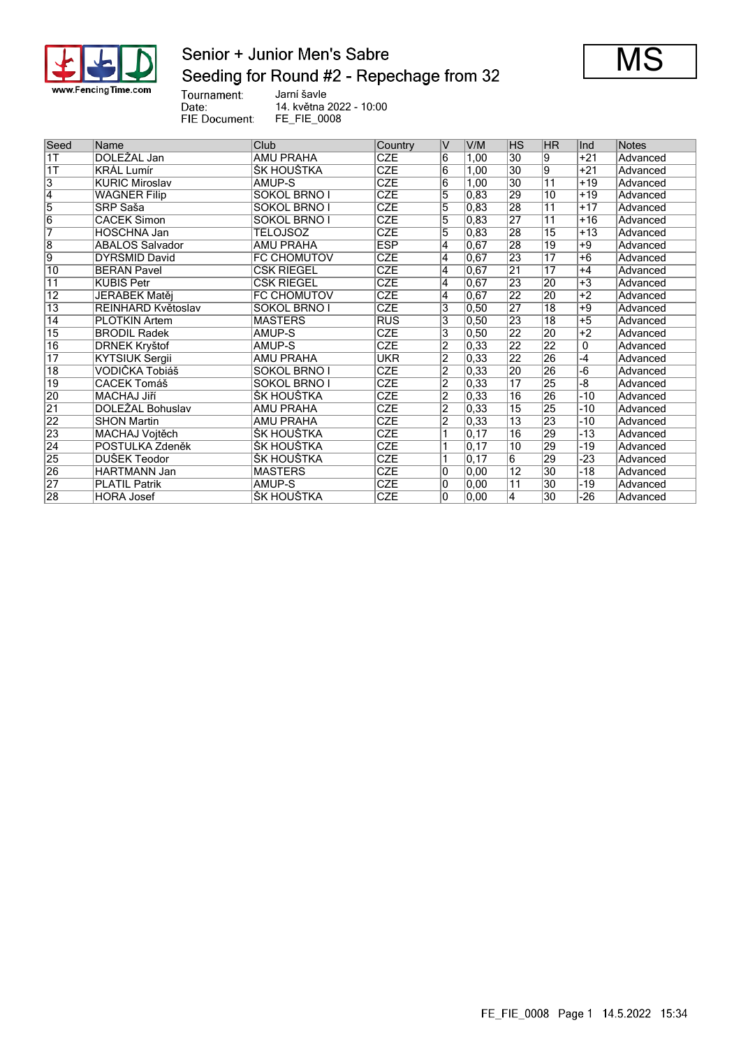

## Senior + Junior Men's Sabre Seeding for Round #2 - Repechage from 32



Tournament:<br>Date:<br>FIE Document:

Jarní šavle 14. května 2022 - 10:00 FE\_FIE\_0008

| Seed            | Name                  | Club                | Country    | V                  | V/M               | HS              | HR              | Ind   | <b>Notes</b> |
|-----------------|-----------------------|---------------------|------------|--------------------|-------------------|-----------------|-----------------|-------|--------------|
| 1T              | DOLEŽAL Jan           | <b>AMU PRAHA</b>    | <b>CZE</b> | 6                  | 1,00              | $\overline{30}$ | 9               | $+21$ | Advanced     |
| 1T              | <b>KRAL Lumír</b>     | ŠK HOUŠTKA          | <b>CZE</b> | 6                  | 1,00              | 30              | $\overline{9}$  | $+21$ | Advanced     |
| $\overline{3}$  | <b>KURIC Miroslav</b> | AMUP-S              | <b>CZE</b> | 6                  | 1,00              | 30              | $\overline{11}$ | $+19$ | Advanced     |
| $\overline{4}$  | <b>WÁGNER Filip</b>   | <b>SOKOL BRNO I</b> | <b>CZE</b> | 5                  | 0,83              | 29              | 10              | $+19$ | Advanced     |
| $\overline{5}$  | SRP Saša              | SOKOL BRNO I        | <b>CZE</b> | $\overline{5}$     | 0,83              | 28              | $\overline{11}$ | $+17$ | Advanced     |
| $\overline{6}$  | <b>CACEK Šimon</b>    | <b>SOKOL BRNO I</b> | <b>CZE</b> | 5                  | 0,83              | $\overline{27}$ | 11              | $+16$ | Advanced     |
| 7               | <b>HOSCHNA Jan</b>    | TÉLOJSOZ            | CZE        | 5                  | 0,83              | 28              | $\overline{15}$ | $+13$ | Advanced     |
| $\overline{8}$  | ÁBALOS Salvador       | <b>AMU PRAHA</b>    | <b>ESP</b> | $\overline{4}$     | 0,67              | 28              | 19              | $+9$  | Advanced     |
| 9               | DYRŠMÍD David         | <b>FC CHOMUTOV</b>  | <b>CZE</b> | $\overline{\bf 4}$ | 0,67              | 23              | $\overline{17}$ | $+6$  | Advanced     |
| $\overline{10}$ | <b>BERAN Pavel</b>    | ČŠK RIEGEL          | <b>CZE</b> | $\overline{4}$     | 0,67              | $\overline{21}$ | $\overline{17}$ | $+4$  | Advanced     |
| $\overline{11}$ | KUBIŠ Petr            | ČŠK RIEGEL          | <b>CZE</b> | $\overline{4}$     | 0,67              | 23              | 20              | $+3$  | Advanced     |
| $\overline{12}$ | JEŘÁBEK Matěj         | <b>FC CHOMUTOV</b>  | <b>CZE</b> | $\overline{\bf 4}$ | 0,67              | $\overline{22}$ | 20              | $+2$  | Advanced     |
| $\overline{13}$ | REINHARD Květoslav    | SOKOL BRNO I        | <b>CZE</b> | 3                  | 0, 50             | 27              | $\overline{18}$ | $+9$  | Advanced     |
| 14              | <b>PLOTKIN Artem</b>  | <b>MASTERS</b>      | <b>RUS</b> | 3                  | 0,50              | 23              | $\overline{18}$ | $+5$  | Advanced     |
| $\overline{15}$ | <b>BRODIL Radek</b>   | AMUP-S              | <b>CZE</b> | $\overline{3}$     | 0,50              | $\overline{22}$ | 20              | $+2$  | Advanced     |
| $\overline{16}$ | <b>DRNEK Kryštof</b>  | AMUP-S              | <b>CZE</b> | $\overline{2}$     | 0,33              | $\overline{22}$ | 22              | 0     | Advanced     |
| $\overline{17}$ | <b>KYTSIUK Sergii</b> | <b>AMU PRAHA</b>    | <b>UKR</b> | $\overline{2}$     | 0,33              | $\overline{22}$ | 26              | $-4$  | Advanced     |
| $\overline{18}$ | VODIČKA Tobiáš        | <b>SOKOL BRNO I</b> | <b>CZE</b> | $\overline{2}$     | 0,33              | $\overline{20}$ | 26              | $-6$  | Advanced     |
| $\overline{19}$ | CACEK Tomáš           | <b>SOKOL BRNO I</b> | CZE        | $\overline{2}$     | 0,33              | $\overline{17}$ | 25              | -8    | Advanced     |
| 20              | <b>MACHAJ Jiří</b>    | ŠK HOUŠTKA          | <b>CZE</b> | $\overline{2}$     | 0,33              | $\overline{16}$ | 26              | $-10$ | Advanced     |
| $\overline{21}$ | DOLEŽAL Bohuslav      | <b>AMU PRAHA</b>    | <b>CZE</b> | $\overline{2}$     | 0,33              | 15              | 25              | -10   | Advanced     |
| 22              | <b>SHON Martin</b>    | <b>AMU PRAHA</b>    | CZE        | $\overline{2}$     | $\overline{0,33}$ | $\overline{13}$ | 23              | $-10$ | Advanced     |
| 23              | MACHAJ Vojtěch        | ŠK HOUŠTKA          | <b>CZE</b> | 1                  | 0,17              | 16              | 29              | $-13$ | Advanced     |
| $\overline{24}$ | POSTULKA Zdeněk       | ŠK HOUŠTKA          | CZE        |                    | 0.17              | 10              | 29              | -19   | Advanced     |
| 25              | DUŠEK Teodor          | ŠK HOUŠTKA          | <b>CZE</b> |                    | $\overline{0,17}$ | $\overline{6}$  | 29              | $-23$ | Advanced     |
| 26              | HARTMANN Jan          | <b>MASTERS</b>      | <b>CZE</b> | 10                 | 0.00              | $\overline{12}$ | $\overline{30}$ | $-18$ | Advanced     |
| $\overline{27}$ | <b>PLATIL Patrik</b>  | AMUP-S              | <b>CZE</b> | 10                 | 0,00              | $\overline{11}$ | $\overline{30}$ | -19   | Advanced     |
| 28              | <b>HORA Josef</b>     | ŠK HOUŠTKA          | <b>CZE</b> | $\overline{0}$     | $\overline{0,00}$ | $\overline{4}$  | 30              | $-26$ | Advanced     |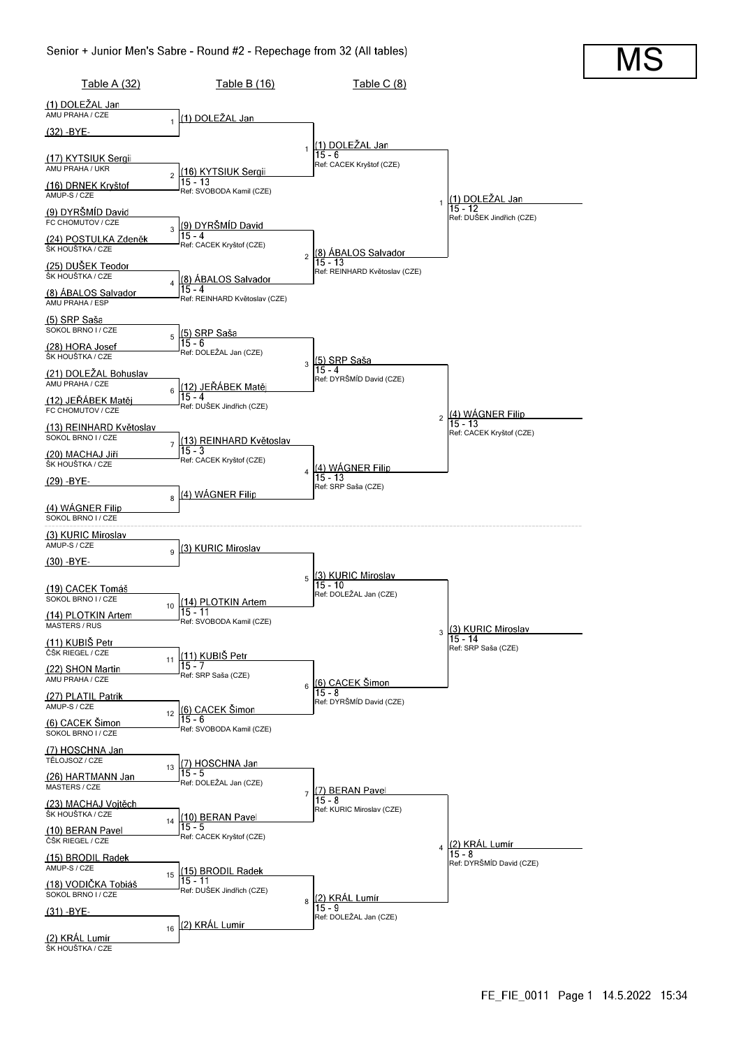

MS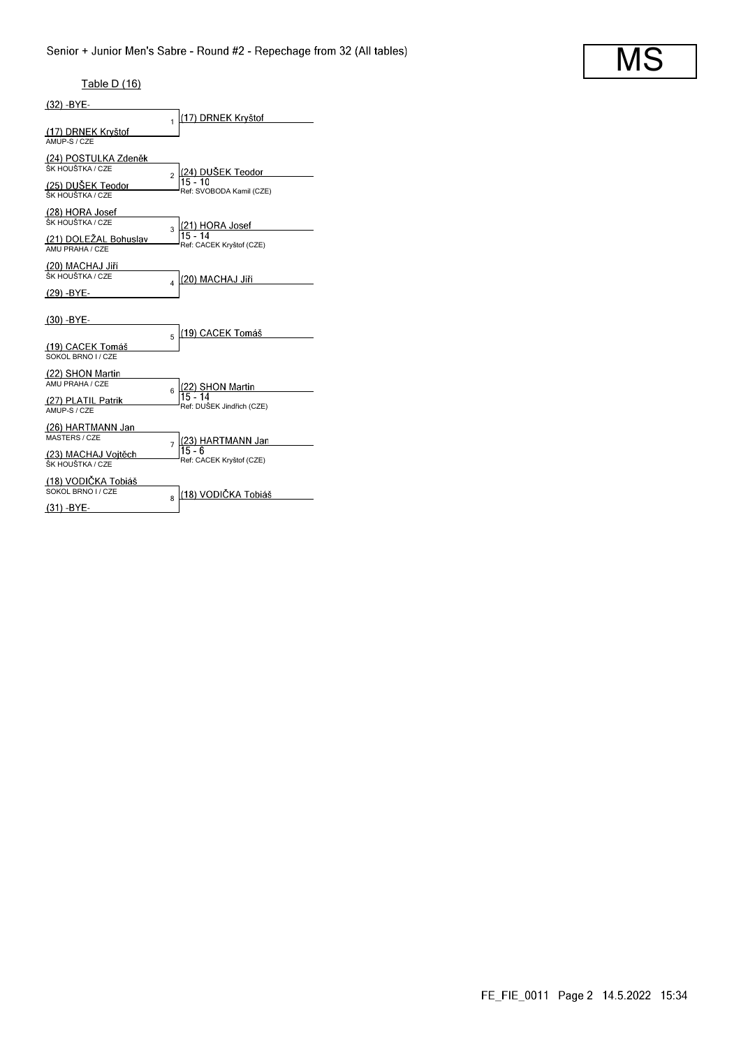# MS

#### Table D (16)

| $(32) - BYE -$                              |                                                 |
|---------------------------------------------|-------------------------------------------------|
|                                             | (17) DRNEK Kryštof<br>1                         |
| (17) DRNEK Kryštof<br>AMUP-S / CZE          |                                                 |
| (24) POSTULKA Zdeněk<br>ŠK HOUŠTKA / CZE    | (24) DUŠEK Teodor<br>$\overline{2}$             |
| (25) DUŠEK Teodor<br>ŠK HOUŠTKA / CZE       | Ref: SVOBODA Kamil (CZE)                        |
| (28) HORA Josef<br>ŠK HOUŠTKA / CZE         | (21) HORA Josef<br>3                            |
| (21) DOLEŽAL Bohuslav<br>AMU PRAHA / CZE    | $15 - 14$<br>Ref: CACEK Kryštof (CZE)           |
| (20) MACHAJ Jiří<br>ŠK HOUŠTKA / CZE        | (20) MACHAJ Jiří<br>4                           |
| (29) -BYE-<br>$(30)$ -BYE-                  |                                                 |
| (19) CACEK Tomáš                            | (19) CACEK Tomáš<br>5                           |
| SOKOL BRNO I / CZE<br>(22) SHON Martin      |                                                 |
| AMU PRAHA / CZE<br>(27) PLATIL Patrik       | <u> (22) SHON Martin</u><br> 15 - 14<br>6       |
| AMUP-S / CZE<br>(26) HARTMANN Jan           | Ref: DUŠEK Jindřich (CZE)                       |
| <b>MASTERS / CZE</b><br>(23) MACHAJ Vojtěch | (23) HARTMANN Jan<br>$\overline{7}$<br>$15 - 6$ |
| ŠK HOUŠTKA / CZE<br>(18) VODIČKA Tobiáš     | Ref: CACEK Kryštof (CZE)                        |
| SOKOL BRNO I / CZE                          | (18) VODIČKA Tobiáš<br>R                        |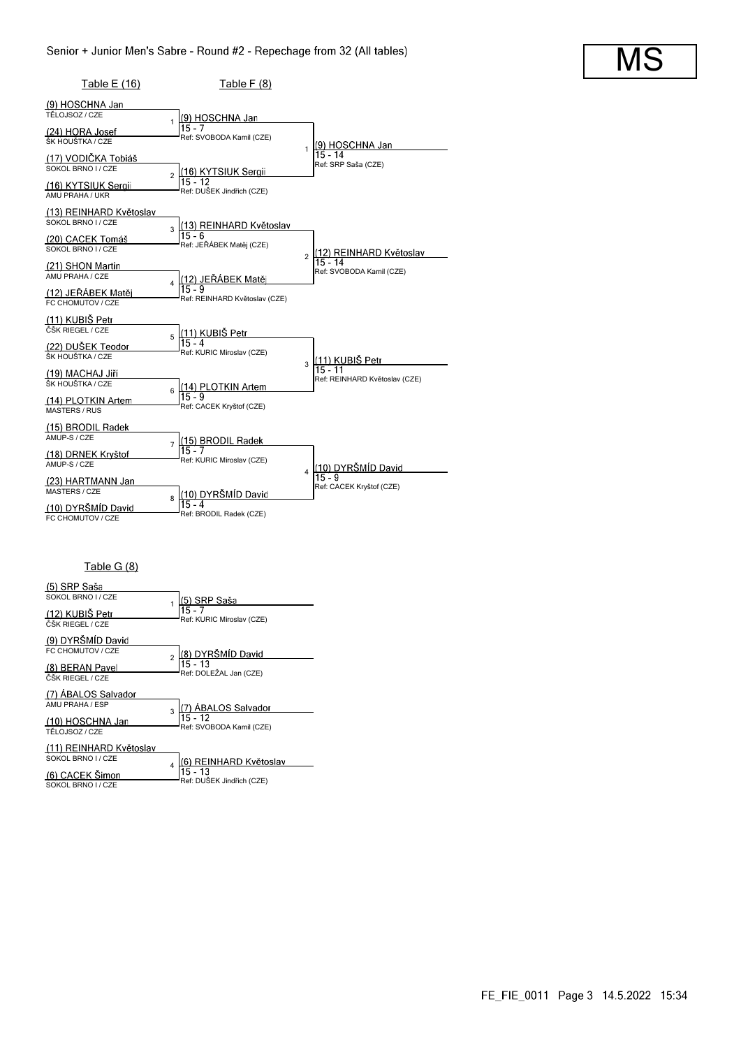| Table E (16)                                  | Table F (8)                                             |                                            |
|-----------------------------------------------|---------------------------------------------------------|--------------------------------------------|
| (9) HOSCHNA Jan                               |                                                         |                                            |
| TĚLOJSOZ / CZE                                | (9) HOSCHNA Jan                                         |                                            |
| (24) HORA Josef<br>ŠK HOUŠTKA / CZE           | 15 - 7<br>Ref: SVOBODA Kamil (CZE)                      | (9) HOSCHNA Jan<br>1                       |
| (17) VODIČKA Tobiáš<br>SOKOL BRNO I / CZE     | (16) KYTSIUK Sergii<br>$\overline{a}$                   | $15 - 14$<br>Ref: SRP Saša (CZE)           |
| (16) KYTSIUK Sergii<br>AMU PRAHA / UKR        | $15 - 12$<br>Ref: DUSEK Jindřich (CZE)                  |                                            |
| (13) REINHARD Květoslav<br>SOKOL BRNO I / CZE | (13) REINHARD Květoslav<br>$\mathbf{R}$                 |                                            |
| (20) CACEK Tomáš<br>SOKOL BRNO I / CZE        | $15 - 6$<br>Ref: JEŘÁBEK Matěj (CZE)                    | (12) REINHARD Květoslav<br>$\overline{2}$  |
| (21) SHON Martin<br>AMU PRAHA / CZE           | (12) JEŘÁBEK Matěj<br>$\overline{4}$                    | $15 - 14$<br>Ref: SVOBODA Kamil (CZE)      |
| (12) JEŘÁBEK Matěj<br>FC CHOMUTOV / CZE       | Ref: REINHARD Květoslav (CZE)                           |                                            |
| (11) KUBIŠ Petr                               |                                                         |                                            |
| ČŠK RIEGEL / CZE                              | <u>(11) KUBIŠ Petr</u><br>5<br>$15 - 4$                 |                                            |
| (22) DUŠEK Teodor<br>ŠK HOUŠTKA / CZE         | Ref: KURIC Miroslav (CZE)                               | <u>(11) KUBIŠ Petr</u><br>3                |
| (19) MACHAJ Jiří<br>ŠK HOUŠTKA / CZE          | (14) PLOTKIN Artem                                      | $15 - 11$<br>Ref: REINHARD Květoslav (CZE) |
| (14) PLOTKIN Artem<br><b>MASTERS / RUS</b>    | 6<br>15 - 9<br>Ref: CACEK Kryštof (CZE)                 |                                            |
| (15) BRODIL Radek<br>AMUP-S / CZE             | (15) BRODIL Radek                                       |                                            |
| (18) DRNEK Kryštof<br>AMUP-S / CZE            | $\overline{7}$<br>$15 - 7$<br>Ref: KURIC Miroslav (CZE) | (10) DYRŠMÍD David                         |
| (23) HARTMANN Jan<br><b>MASTERS / CZE</b>     | (10) DYRŠMÍD David<br>8                                 | $\overline{4}$<br>Ref: CACEK Kryštof (CZE) |
| (10) DYRŠMÍD David<br>FC CHOMUTOV / CZE       | 15 - 4<br>Ref: BRODIL Radek (CZE)                       |                                            |

### Table G (8)

| (5) SRP Saša            |   |                                             |
|-------------------------|---|---------------------------------------------|
| SOKOL BRNO I / CZE      |   | (5) SRP Saša                                |
| (12) KUBIŠ Petr         |   | $15 - 7$<br>Ref: KURIC Miroslav (CZE)       |
| ČŠK RIEGEL / CZE        |   |                                             |
| (9) DYRŠMÍD David       |   |                                             |
| FC CHOMUTOV / CZE       |   | (8) DYRŠMÍD David                           |
| (8) BERAN Pavel         |   | $\frac{1}{15}$ 13<br>Ref: DOLEŽAL Jan (CZE) |
| ČŠK RIEGEL / CZE        |   |                                             |
| (7) ABALOS Salvador     |   |                                             |
| AMU PRAHA / ESP         | R | 7) ÁBALOS Salvador                          |
| (10) HOSCHNA Jan        |   | $15 - 12$                                   |
| TĚLOJSOZ / CZE          |   | Ref: SVOBODA Kamil (CZE)                    |
| (11) REINHARD Květoslav |   |                                             |
| SOKOL BRNO I / CZE      |   | (6) REINHARD Květoslav                      |
| (6) CACEK Šimon         |   | $15 - 13$                                   |
| SOKOL BRNO I / CZE      |   | Ref: DUŠEK Jindřich (CZE)                   |

MS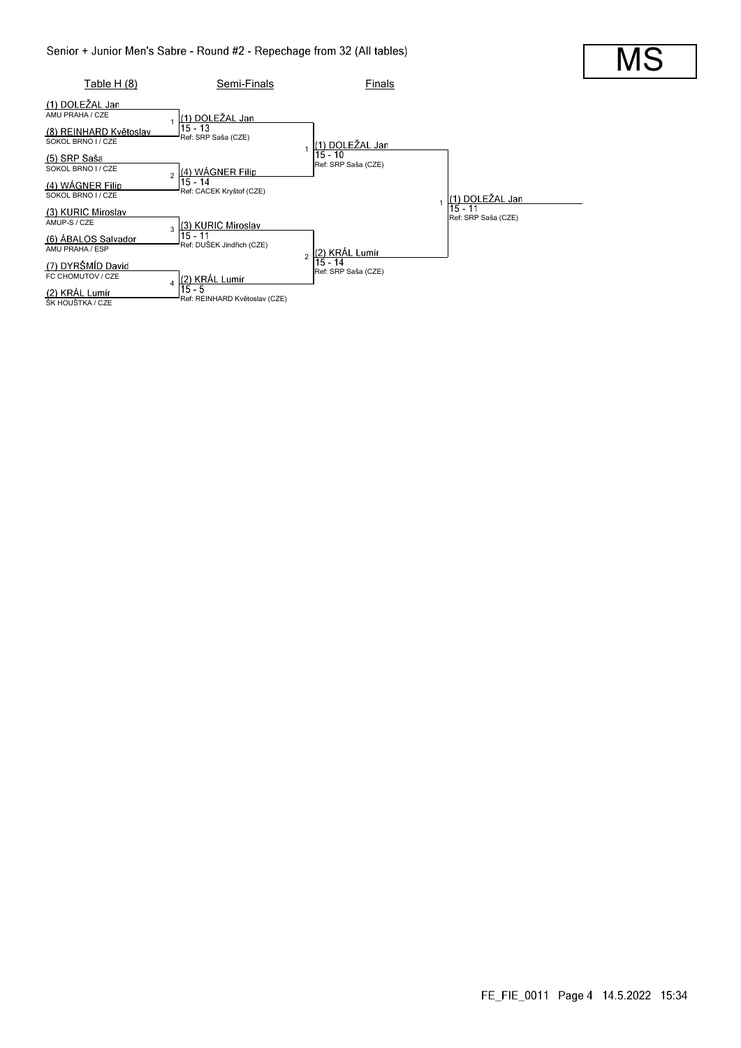

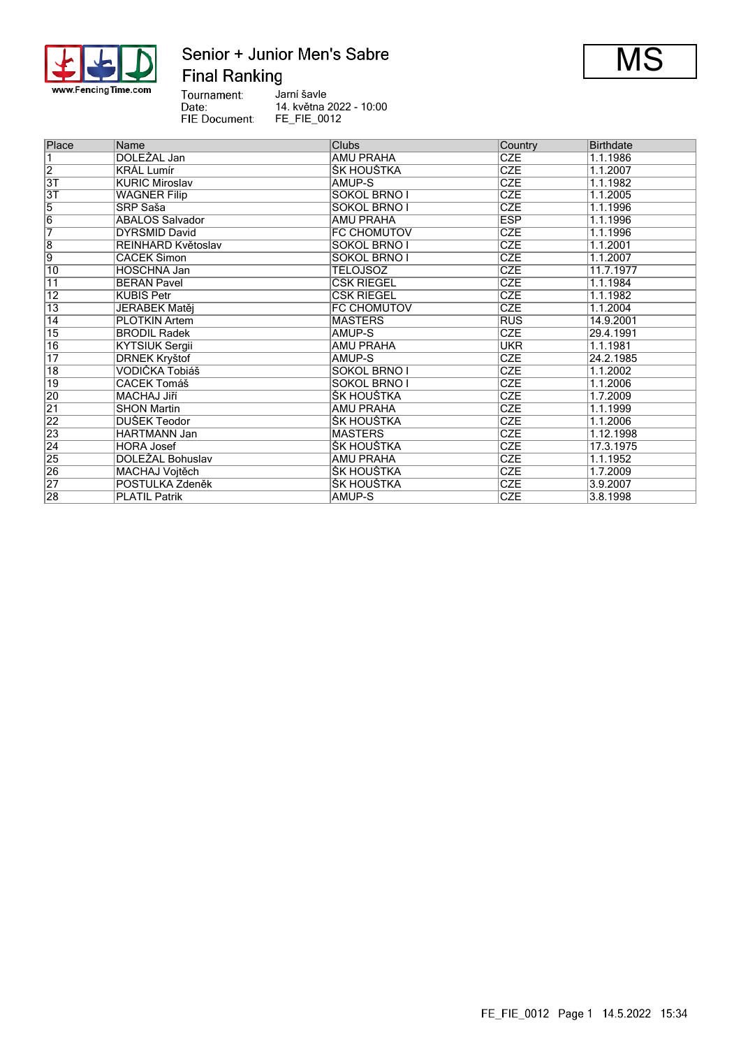

## Senior + Junior Men's Sabre **Final Ranking**



Tournament:<br>
Date:<br>
FIE Document: Jarní šavle 14. května 2022 - 10:00 FE\_FIE\_0012

| Place           | Name                  | <b>Clubs</b>        | Country    | Birthdate |
|-----------------|-----------------------|---------------------|------------|-----------|
| 1               | DOLEŽAL Jan           | <b>AMU PRAHA</b>    | <b>CZE</b> | 1.1.1986  |
| $\overline{2}$  | <b>KRAL Lumír</b>     | ŠK HOUŠTKA          | <b>CZE</b> | 1.1.2007  |
| 3T              | <b>KURIC Miroslav</b> | AMUP-S              | <b>CZE</b> | 1.1.1982  |
| $\overline{3T}$ | <b>WAGNER Filip</b>   | <b>SOKOL BRNO I</b> | <b>CZE</b> | 1.1.2005  |
| $\overline{5}$  | SRP Saša              | SOKOL BRNO I        | <b>CZE</b> | 1.1.1996  |
| $\overline{6}$  | ÁBALOS Salvador       | <b>AMU PRAHA</b>    | <b>ESP</b> | 1.1.1996  |
| 7               | DYRSMID David         | FC CHOMUTOV         | <b>CZE</b> | 1.1.1996  |
| $\overline{8}$  | REINHARD Květoslav    | <b>SOKOL BRNO I</b> | <b>CZE</b> | 1.1.2001  |
| $\overline{9}$  | <b>CACEK Šimon</b>    | <b>SOKOL BRNO I</b> | <b>CZE</b> | 1.1.2007  |
| 10              | <b>HOSCHNA Jan</b>    | <b>TÉLOJSOZ</b>     | <b>CZE</b> | 11.7.1977 |
| 11              | <b>BERAN Pavel</b>    | ČŠK RIEGEL          | <b>CZE</b> | 1.1.1984  |
| $\overline{12}$ | KUBIŠ Petr            | ČŠK RIEGEL          | <b>CZE</b> | 1.1.1982  |
| $\overline{13}$ | JEŘÁBEK Matěj         | <b>FC CHOMUTOV</b>  | <b>CZE</b> | 1.1.2004  |
| $\overline{14}$ | <b>PLOTKIN Artem</b>  | <b>MASTERS</b>      | <b>RUS</b> | 14.9.2001 |
| $\overline{15}$ | <b>BRODIL Radek</b>   | AMUP-S              | <b>CZE</b> | 29.4.1991 |
| 16              | <b>KYTSIUK Sergii</b> | <b>AMU PRAHA</b>    | <b>UKR</b> | 1.1.1981  |
| $\overline{17}$ | <b>DRNEK Kryštof</b>  | AMUP-S              | <b>CZE</b> | 24.2.1985 |
| $\overline{18}$ | VODIČKA Tobiáš        | <b>SOKOL BRNO I</b> | <b>CZE</b> | 1.1.2002  |
| $\overline{19}$ | <b>CACEK Tomáš</b>    | <b>SOKOL BRNO I</b> | <b>CZE</b> | 1.1.2006  |
| 20              | <b>MACHAJ Jiří</b>    | ŠK HOUŠTKA          | <b>CZE</b> | 1.7.2009  |
| $\overline{21}$ | <b>SHON Martin</b>    | <b>AMU PRAHA</b>    | <b>CZE</b> | 1.1.1999  |
| 22              | DUŠEK Teodor          | ŠK HOUŠTKA          | <b>CZE</b> | 1.1.2006  |
| 23              | <b>HARTMANN Jan</b>   | <b>MASTERS</b>      | <b>CZE</b> | 1.12.1998 |
| $\overline{24}$ | <b>HORA Josef</b>     | ŠK HOUŠTKA          | <b>CZE</b> | 17.3.1975 |
| 25              | DOLEZAL Bohuslav      | AMU PRAHA           | <b>CZE</b> | 1.1.1952  |
| 26              | MACHAJ Vojtěch        | ŠK HOUŠTKA          | <b>CZE</b> | 1.7.2009  |
| $\overline{27}$ | POSTULKA Zdeněk       | ŠK HOUŠTKA          | <b>CZE</b> | 3.9.2007  |
| 28              | <b>PLATIL Patrik</b>  | AMUP-S              | <b>CZE</b> | 3.8.1998  |